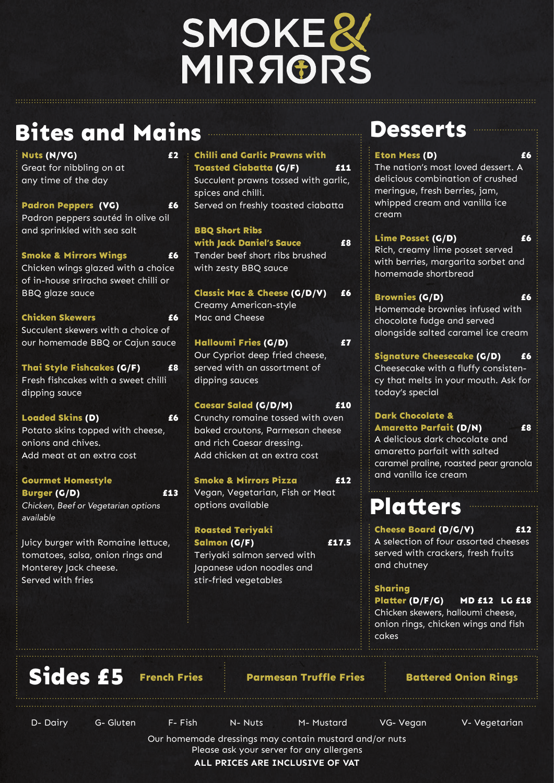# SMOKER<br>MIRSIORS

**Bites and Mains**

**Nuts (N/VG) £2** Great for nibbling on at any time of the day **Padron Peppers (VG) £6** Padron peppers sautéd in olive oil and sprinkled with sea salt **Smoke & Mirrors Wings £6** Chicken wings glazed with a choice of in-house sriracha sweet chilli or BBQ glaze sauce **Chicken Skewers 26** Succulent skewers with a choice of our homemade BBQ or Cajun sauce **Thai Style Fishcakes (G/F) £8** Fresh fishcakes with a sweet chilli dipping sauce **Loaded Skins (D) £6**

Potato skins topped with cheese, onions and chives. Add meat at an extra cost

**Gourmet Homestyle Burger (G/D) £13** *Chicken, Beef or Vegetarian options available*

Juicy burger with Romaine lettuce, tomatoes, salsa, onion rings and Monterey Jack cheese. Served with fries

| <b>Chilli and Garlic Prawns with</b><br><b>Toasted Ciabatta (G/F)</b><br>£11<br>Succulent prawns tossed with garlic,<br>spices and chilli.<br>Served on freshly toasted ciabatta |
|----------------------------------------------------------------------------------------------------------------------------------------------------------------------------------|
| <b>BBQ Short Ribs</b><br><b>with Jack Daniel's Sauce</b><br>£8<br>Tender beef short ribs brushed<br>with zesty BBQ sauce                                                         |
| <b>Classic Mac &amp; Cheese (G/D/V)</b><br>£6<br><b>Creamy American-style</b><br>Mac and Cheese                                                                                  |
| Halloumi Fries (G/D)<br>£7<br>Our Cypriot deep fried cheese,<br>served with an assortment of<br>dipping sauces                                                                   |
| <b>Caesar Salad (G/D/M)</b><br>£10<br>Crunchy romaine tossed with oven<br>baked croutons, Parmesan cheese<br>and rich Caesar dressing.<br>Add chicken at an extra cost           |
| <b>Smoke &amp; Mirrors Pizza</b><br>512<br>Vegan, Vegetarian, Fish or Meat<br>options available                                                                                  |
| <b>Roasted Teriyaki</b>                                                                                                                                                          |

Our homemade dressings may contain mustard and/or nuts Please ask your server for any allergens **ALL PRICES ARE INCLUSIVE OF VAT** D- Dairy G- Gluten F- Fish N- Nuts M- Mustard VG- Vegan V- Vegetarian

**Salmon (G/F) £17.5**

Teriyaki salmon served with Japanese udon noodles and

stir-fried vegetables

The nation's most loved dessert. A delicious combination of crushed meringue, fresh berries, jam, whipped cream and vanilla ice cream

**Lime Posset (G/D) £6** Rich, creamy lime posset served with berries, margarita sorbet and homemade shortbread

**Brownies (G/D) £6** Homemade brownies infused with chocolate fudge and served alongside salted caramel ice cream

**Signature Cheesecake (G/D) £6** Cheesecake with a fluffy consistency that melts in your mouth. Ask for today's special

## **Dark Chocolate & Amaretto Parfait (D/N) £8**

A delicious dark chocolate and amaretto parfait with salted caramel praline, roasted pear granola and vanilla ice cream

## **Sides £5 French Fries Parmesan Truffle Fries Battered Onion Rings**

# **Desserts**

#### **Eton Mess (D)** 66

**Cheese Board (D/G/V) £12**

A selection of four assorted cheeses served with crackers, fresh fruits and chutney

**Sharing** 

**Platter (D/F/G) MD £12 LG £18** Chicken skewers, halloumi cheese, onion rings, chicken wings and fish cakes

# **Platters**